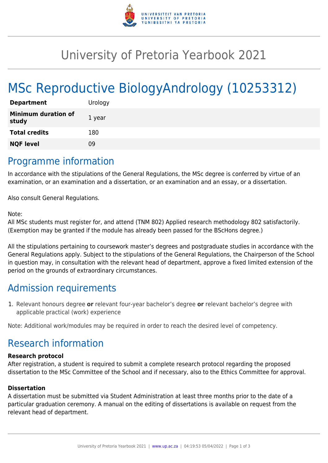

## University of Pretoria Yearbook 2021

# MSc Reproductive BiologyAndrology (10253312)

| <b>Department</b>                   | Urology |
|-------------------------------------|---------|
| <b>Minimum duration of</b><br>study | 1 year  |
| <b>Total credits</b>                | 180     |
| <b>NQF level</b>                    | ng      |

### Programme information

In accordance with the stipulations of the General Regulations, the MSc degree is conferred by virtue of an examination, or an examination and a dissertation, or an examination and an essay, or a dissertation.

Also consult General Regulations.

#### Note:

All MSc students must register for, and attend (TNM 802) Applied research methodology 802 satisfactorily. (Exemption may be granted if the module has already been passed for the BScHons degree.)

All the stipulations pertaining to coursework master's degrees and postgraduate studies in accordance with the General Regulations apply. Subject to the stipulations of the General Regulations, the Chairperson of the School in question may, in consultation with the relevant head of department, approve a fixed limited extension of the period on the grounds of extraordinary circumstances.

## Admission requirements

1. Relevant honours degree **or** relevant four-year bachelor's degree **or** relevant bachelor's degree with applicable practical (work) experience

Note: Additional work/modules may be required in order to reach the desired level of competency.

## Research information

#### **Research protocol**

After registration, a student is required to submit a complete research protocol regarding the proposed dissertation to the MSc Committee of the School and if necessary, also to the Ethics Committee for approval.

#### **Dissertation**

A dissertation must be submitted via Student Administration at least three months prior to the date of a particular graduation ceremony. A manual on the editing of dissertations is available on request from the relevant head of department.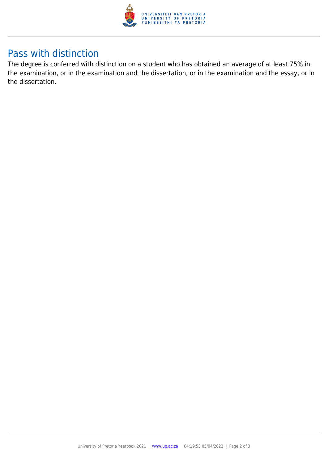

## Pass with distinction

The degree is conferred with distinction on a student who has obtained an average of at least 75% in the examination, or in the examination and the dissertation, or in the examination and the essay, or in the dissertation.